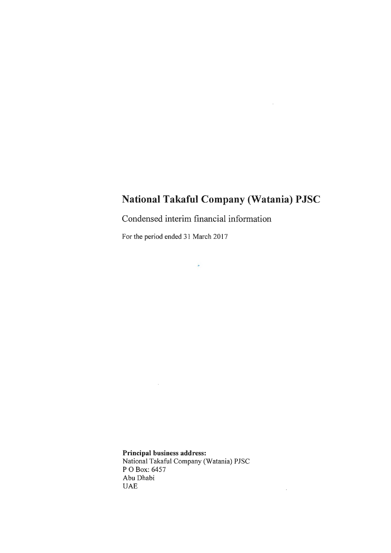$\sim 10^{-11}$ 

 $\mathcal{A}^{\mathrm{c}}$  and

Condensed interim financial information

 $\star$ 

For the period ended 31 March 2017

 $\mathcal{L}(\mathcal{A})$  and  $\mathcal{L}(\mathcal{A})$ 

**Principal** business address: National Takaful Company (Watania) PJSC P 0 Box: 6457 Abu Dhabi UAE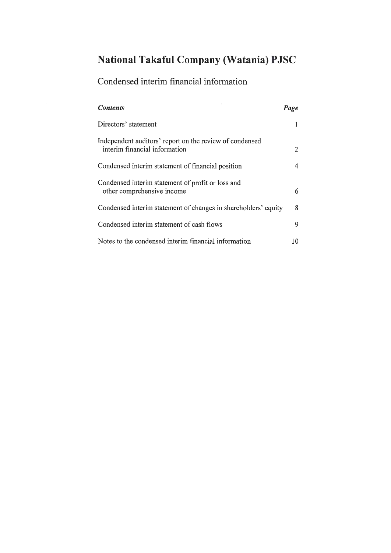# Condensed interim financial information

 $\mathcal{L}_{\mathcal{A}}$ 

 $\sim 10^{-1}$ 

| <b>Contents</b>                                                                          | Page |
|------------------------------------------------------------------------------------------|------|
| Directors' statement                                                                     |      |
| Independent auditors' report on the review of condensed<br>interim financial information | 2    |
| Condensed interim statement of financial position                                        | 4    |
| Condensed interim statement of profit or loss and<br>other comprehensive income          | 6    |
| Condensed interim statement of changes in shareholders' equity                           | 8    |
| Condensed interim statement of cash flows                                                | 9    |
| Notes to the condensed interim financial information                                     | 10   |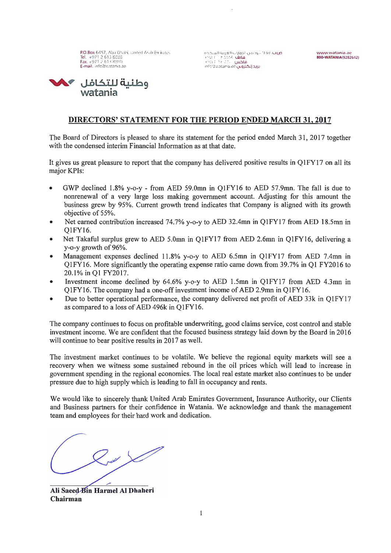P.O.Box 6457. Abu Dhabi, United Arab Emirates Tel. +97126138888 Fax. • 971 2 613 8800 E-mail. inio@watania.ae

o.>..:UoJI C\,uJ.2)1 uljl.,,)JI ,uilicJ. )(OV .U .\J'.' +GVI ( )Ir MM Lil.JU!> - <sup>1</sup>~v1 *r* 1ir M·· uiDLD info@watania.ae بريد إلكتروني



#### **DIRECTORS' STATEMENT FOR THE PERIOD ENDED MARCH 31, 2017**

The Board of Directors is pleased to share its statement for the period ended March 31, 2017 together with the condensed interim Financial Information as at that date.

It gives us great pleasure to report that the company has delivered positive results in QlFYl 7 on all its major KPis:

- GWP declined 1.8% y-o-y from AED 59.0mn in QlFY16 to AED 57.9mn. The fall is due to nonrenewal of a very large loss making government account. Adjusting for this amount the business grew by 95%. Current growth trend indicates that Company is aligned with its growth objective of 55%.
- Net earned contribution increased  $74.7\%$  y-o-y to AED 32.4mn in Q1FY17 from AED 18.5mn in QlFY16.
- Net Takaful surplus grew to AED 5.0mn in Q1FY17 from AED 2.6mn in Q1FY16, delivering a y-o-y growth of 96%.
- Management expenses declined 11.8% y-o-y to AED 6.5mn in Q1FY17 from AED 7.4mn in Q1FY16. More significantly the operating expense ratio came down from 39.7% in Ql FY2016 to 20.1% in Ql FY2017.
- Investment income declined by 64.6% y-o-y to AED l.5mn in Q1FY17 from AED 4.3mn in QlFY16. The company had a one-off investment income of AED 2.9mn in QlFY16.
- Due to better operational performance, the company delivered net profit of AED 33k in Q1FY17 as compared to a loss of AED 496k in QlFY16.

The company continues to focus on profitable underwriting, good claims service, cost control and stable investment income. We are confident that the focused business strategy laid down by the Board in 2016 will continue to bear positive results in 2017 as well.

The investment market continues to be volatile. We believe the regional equity markets will see a recovery when we witness some sustained rebound in the oil prices which will lead to increase in government spending in the regional economies. The local real estate market also continues to be under pressure due to high supply which is leading to fall in occupancy and rents.

We would like to sincerely thank United Arab Emirates Government, Insurance Authority, our Clients and Business partners for their confidence in Watania. We acknowledge and thank the management team and employees for their hard work and dedication.

 $24 \times$ 

Ali Saeed Bin Harmel Al Dhaheri **Chairman**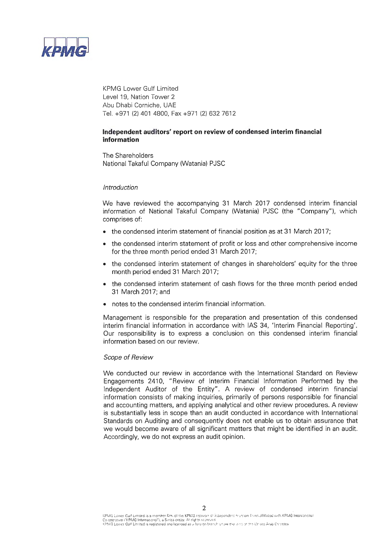

KPMG Lower Gulf Limited Level 19, Nation Tower 2 Abu Dhabi Corniche, UAE Tel. +971 (2) 401 4800, Fax +971 (2) 632 7612

#### **Independent auditors' report on review of condensed interim financial information**

The Shareholders National Takaful Company (Watania) PJSC

#### Introduction

We have reviewed the accompanying 31 March 2017 condensed interim financial information of National Takaful Company (Watania) PJSC (the "Company"), which comprises of:

- the condensed interim statement of financial position as at 31 March 2017;
- the condensed interim statement of profit or loss and other comprehensive income for the three month period ended 31 March 2017;
- the condensed interim statement of changes in shareholders' equity for the three month period ended 31 March 2017;
- the condensed interim statement of cash flows for the three month period ended 31 March 2017; and
- notes to the condensed interim financial information.

Management is responsible for the preparation and presentation of this condensed interim financial information in accordance with IAS 34, 'Interim Financial Reporting'. Our responsibility is to express a conclusion on this condensed interim financial information based on our review.

#### Scope of Review

We conducted our review in accordance with the International Standard on Review Engagements 2410, "Review of Interim Financial Information Performed by the Independent Auditor of the Entity". A review of condensed interim financial information consists of making inquiries, primarily of persons responsible for financial and accounting matters, and applying analytical and other review procedures. A review is substantially less in scope than an audit conducted in accordance with International Standards on Auditing and consequently does not enable us to obtain assurance that we would become aware of all significant matters that might be identified in an audit. Accordingly, we do not express an audit opinion.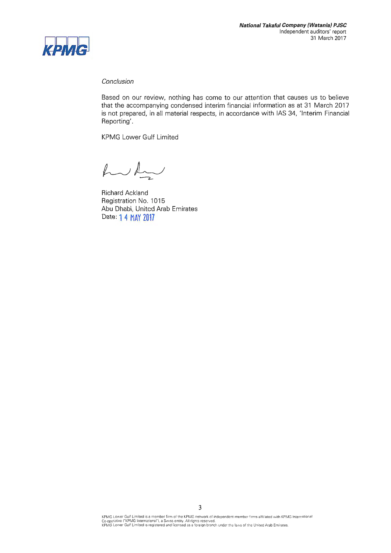

#### Conclusion

Based on our review, nothing has come to our attention that causes us to believe that the accompanying condensed interim financial information as at 31 March 2017 is not prepared, in all material respects, in accordance with IAS 34, 'Interim Financial Reporting'.

KPMG Lower Gulf Limited

hulu

Richard Ackland Registration No. 1015 Abu Dhabi, United Arab Emirates Date: 1 4 MAY 2017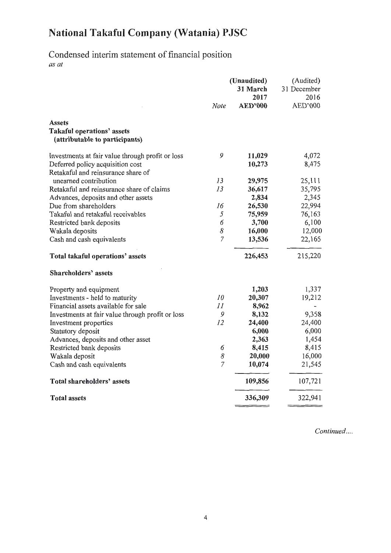## Condensed interim statement of financial position *as at*

|                                                                                      | <b>Note</b> | (Unaudited)<br>31 March<br>2017<br><b>AED'000</b> | (Audited)<br>31 December<br>2016<br>AED'000 |
|--------------------------------------------------------------------------------------|-------------|---------------------------------------------------|---------------------------------------------|
| <b>Assets</b><br><b>Takaful operations' assets</b><br>(attributable to participants) |             |                                                   |                                             |
| Investments at fair value through profit or loss                                     | 9           | 11,029                                            | 4,072                                       |
| Deferred policy acquisition cost<br>Retakaful and reinsurance share of               |             | 10,273                                            | 8,475                                       |
| unearned contribution                                                                | 13          | 29,975                                            | 25,111                                      |
| Retakaful and reinsurance share of claims                                            | 13          | 36,617                                            | 35,795                                      |
| Advances, deposits and other assets                                                  |             | 2,834                                             | 2,345                                       |
| Due from shareholders                                                                | 16          | 26,530                                            | 22,994                                      |
| Takaful and retakaful receivables                                                    | 5           | 75,959                                            | 76,163                                      |
| Restricted bank deposits                                                             | 6           | 3,700                                             | 6,100                                       |
| Wakala deposits                                                                      | 8           | 16,000                                            | 12,000                                      |
| Cash and cash equivalents                                                            | 7           | 13,536                                            | 22,165                                      |
| Total takaful operations' assets                                                     |             | 226,453                                           | 215,220                                     |
| Shareholders' assets                                                                 |             |                                                   |                                             |
| Property and equipment                                                               |             | 1,203                                             | 1,337                                       |
| Investments - held to maturity                                                       | 10          | 20,307                                            | 19,212                                      |
| Financial assets available for sale                                                  | 11          | 8,962                                             |                                             |
| Investments at fair value through profit or loss                                     | 9           | 8,132                                             | 9,358                                       |
| Investment properties                                                                | 12          | 24,400                                            | 24,400                                      |
| Statutory deposit                                                                    |             | 6,000                                             | 6,000                                       |
| Advances, deposits and other asset                                                   |             | 2,363                                             | 1,454                                       |
| Restricted bank deposits                                                             | 6           | 8,415                                             | 8,415                                       |
| Wakala deposit                                                                       | 8           | 20,000                                            | 16,000                                      |
| Cash and cash equivalents                                                            | 7           | 10,074                                            | 21,545                                      |
| <b>Total shareholders' assets</b>                                                    |             | 109,856                                           | 107,721                                     |
| <b>Total assets</b>                                                                  |             | 336,309                                           | 322,941                                     |
|                                                                                      |             |                                                   |                                             |

*Continued ....*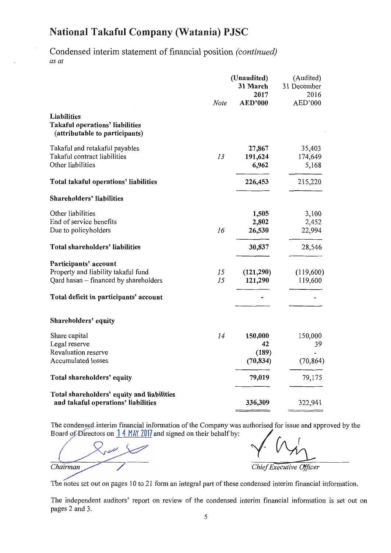Condensed interim statement of financial position *(continued) as at* 

|                                                                                                       | Note     | (Unaudited)<br>31 March<br>2017<br><b>AED'000</b> | (Audited)<br>31 December<br>2016<br>AED'000 |
|-------------------------------------------------------------------------------------------------------|----------|---------------------------------------------------|---------------------------------------------|
| <b>Liabilities</b><br><b>Takaful operations' liabilities</b><br>(attributable to participants)        |          |                                                   |                                             |
| Takaful and retakaful payables<br>Takaful contract liabilities<br>Other liabilities                   | 13       | 27,867<br>191,624<br>6,962                        | 35,403<br>174,649<br>5,168                  |
| Total takaful operations' liabilities                                                                 |          | 226,453                                           | 215,220                                     |
| Shareholders' liabilities                                                                             |          |                                                   |                                             |
| Other liabilities<br>End of service benefits<br>Due to policyholders                                  | 16       | 1,505<br>2,802<br>26,530                          | 3,100<br>2,452<br>22,994                    |
| <b>Total shareholders' liabilities</b>                                                                |          | 30,837                                            | 28,546                                      |
| Participants' account<br>Property and liability takaful fund<br>Qard hasan - financed by shareholders | 15<br>15 | (121, 290)<br>121,290                             | (119,600)<br>119,600                        |
| Total deficit in participants' account                                                                |          |                                                   |                                             |
| Shareholders' equity                                                                                  |          |                                                   |                                             |
| Share capital<br>Legal reserve<br>Revaluation reserve<br>Accumulated losses                           | 14       | 150,000<br>42<br>(189)<br>(70, 834)               | 150,000<br>39<br>(70, 864)                  |
| Total shareholders' equity                                                                            |          | 79,019                                            | 79,175                                      |
| Total shareholders' equity and liabilities<br>and takaful operations' liabilities                     |          | 336,309                                           | 322,941                                     |

The condensed interim financial information of the Company was authorised for issue and approved by the Board of Directors on 14 MAY 2017 and signed on their behalf by:

Chairman

Chief Executive Officer

The notes set out on pages 10 to 21 form an integral part of these condensed interim financial information.

The independent auditors' report on review of the condensed interim financial information is set out on pages 2 and 3.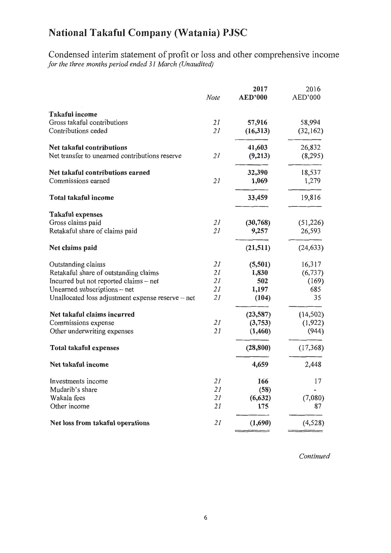Condensed interim statement of profit or loss and other comprehensive income *for the three months period ended 31 March (Unaudited)* 

|                                                   | Note | 2017<br><b>AED'000</b> | 2016<br>AED'000 |
|---------------------------------------------------|------|------------------------|-----------------|
| <b>Takaful income</b>                             |      |                        |                 |
| Gross takaful contributions                       | 21   | 57,916                 | 58,994          |
| Contributions ceded                               | 21   | (16,313)               | (32,162)        |
| <b>Net takaful contributions</b>                  |      | 41,603                 | 26,832          |
| Net transfer to unearned contributions reserve    | 21   | (9,213)                | (8,295)         |
| Net takaful contributions earned                  |      | 32,390                 | 18,537          |
| Commissions earned                                | 21   | 1,069                  | 1,279           |
| Total takaful income                              |      | 33,459                 | 19,816          |
| <b>Takaful expenses</b>                           |      |                        |                 |
| Gross claims paid                                 | 21   | (30, 768)              | (51,226)        |
| Retakaful share of claims paid                    | 21   | 9,257                  | 26,593          |
| Net claims paid                                   |      | (21, 511)              | (24, 633)       |
| Outstanding claims                                | 21   | (5,501)                | 16,317          |
| Retakaful share of outstanding claims             | 21   | 1,830                  | (6, 737)        |
| Incurred but not reported claims - net            | 21   | 502                    | (169)           |
| Unearned subscriptions - net                      | 21   | 1,197                  | 685             |
| Unallocated loss adjustment expense reserve - net | 21   | (104)                  | 35              |
| Net takaful claims incurred                       |      | (23, 587)              | (14, 502)       |
| Commissions expense                               | 21   | (3,753)                | (1, 922)        |
| Other underwriting expenses                       | 21   | (1,460)                | (944)           |
| <b>Total takaful expenses</b>                     |      | (28, 800)              | (17,368)        |
| Net takaful income                                |      | 4,659                  | 2,448           |
| Investments income                                | 21   | 166                    | 17              |
| Mudarib's share                                   | 21   | (58)                   |                 |
| Wakala fees                                       | 21   | (6, 632)               | (7,080)         |
| Other income                                      | 21   | 175                    | 87              |
| Net loss from takaful operations                  | 21   | (1,690)                | (4,528)         |

*Continued*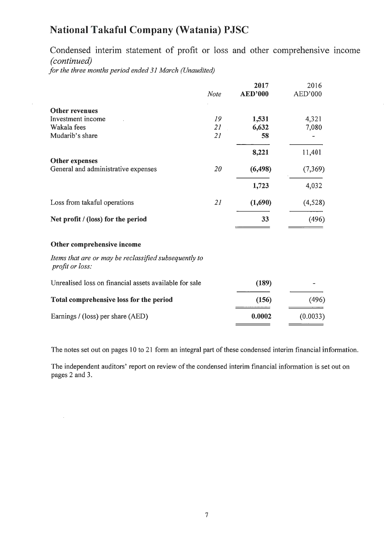Condensed interim statement of profit or loss and other comprehensive mcome *(continued)* 

 $\bar{z}$ 

*for the three months period ended 31 March (Unaudited)* 

 $\bar{\gamma}$ 

|                                                                          |             | 2017           | 2016     |
|--------------------------------------------------------------------------|-------------|----------------|----------|
|                                                                          | <b>Note</b> | <b>AED'000</b> | AED'000  |
| <b>Other revenues</b>                                                    |             |                |          |
| Investment income                                                        | 19          | 1,531          | 4,321    |
| Wakala fees                                                              | 21          | 6,632          | 7,080    |
| Mudarib's share                                                          | 21          | 58             |          |
|                                                                          |             | 8,221          | 11,401   |
| <b>Other expenses</b>                                                    |             |                |          |
| General and administrative expenses                                      | 20          | (6, 498)       | (7,369)  |
|                                                                          |             | 1,723          | 4,032    |
| Loss from takaful operations                                             | 21          | (1,690)        | (4,528)  |
| Net profit / (loss) for the period                                       |             | 33             | (496)    |
| Other comprehensive income                                               |             |                |          |
| Items that are or may be reclassified subsequently to<br>profit or loss: |             |                |          |
| Unrealised loss on financial assets available for sale                   |             | (189)          |          |
| Total comprehensive loss for the period                                  |             | (156)          | (496)    |
| Earnings / (loss) per share (AED)                                        |             | 0.0002         | (0.0033) |

The notes set out on pages 10 to 21 form an integral part of these condensed interim financial information.

The independent auditors' report on review of the condensed interim financial information is set out on pages 2 and 3.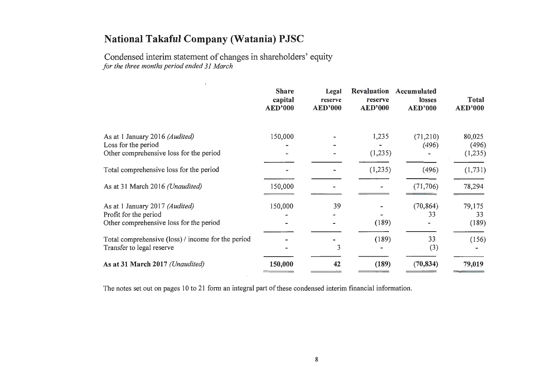Condensed interim statement of changes in shareholders' equity *for the three months period ended 31 March* 

|                                                                                 | <b>Share</b><br>capital<br><b>AED'000</b> | Legal<br>reserve<br><b>AED'000</b> | Revaluation<br>reserve<br><b>AED'000</b> | Accumulated<br>losses<br><b>AED'000</b> | <b>Total</b><br><b>AED'000</b> |
|---------------------------------------------------------------------------------|-------------------------------------------|------------------------------------|------------------------------------------|-----------------------------------------|--------------------------------|
| As at 1 January 2016 (Audited)                                                  | 150,000                                   |                                    | 1,235                                    | (71,210)                                | 80,025                         |
| Loss for the period                                                             |                                           |                                    |                                          | (496)                                   | (496)                          |
| Other comprehensive loss for the period                                         |                                           |                                    | (1,235)                                  |                                         | (1,235)                        |
| Total comprehensive loss for the period                                         |                                           |                                    | (1,235)                                  | (496)                                   | (1, 731)                       |
| As at 31 March 2016 (Unaudited)                                                 | 150,000                                   |                                    |                                          | (71, 706)                               | 78,294                         |
| As at 1 January 2017 (Audited)                                                  | 150,000                                   | 39                                 |                                          | (70, 864)                               | 79,175                         |
| Profit for the period                                                           |                                           |                                    |                                          | 33                                      | 33                             |
| Other comprehensive loss for the period                                         |                                           |                                    | (189)                                    |                                         | (189)                          |
| Total comprehensive (loss) / income for the period<br>Transfer to legal reserve |                                           | 3                                  | (189)                                    | 33<br>(3)                               | (156)                          |
| As at 31 March 2017 (Unaudited)                                                 | 150,000                                   | 42                                 | (189)                                    | (70, 834)                               | 79,019                         |

The notes set out on pages 10 to 21 form an integral part of these condensed interim financial information.

 $\sim 1000$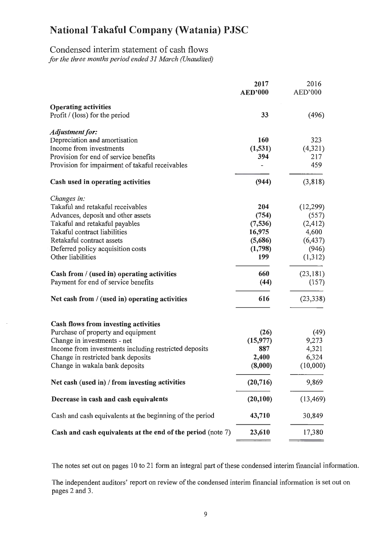## Condensed interim statement of cash flows *for the three months period ended 31 March (Unaudited)*

|                                                             | 2017<br><b>AED'000</b> | 2016<br>AED'000 |
|-------------------------------------------------------------|------------------------|-----------------|
| <b>Operating activities</b>                                 |                        |                 |
| Profit / (loss) for the period                              | 33                     | (496)           |
| Adjustment for:                                             |                        |                 |
| Depreciation and amortisation                               | 160                    | 323             |
| Income from investments                                     | (1, 531)               | (4, 321)        |
| Provision for end of service benefits                       | 394                    | 217             |
| Provision for impairment of takaful receivables             |                        | 459             |
| Cash used in operating activities                           | (944)                  | (3,818)         |
| Changes in:                                                 |                        |                 |
| Takaful and retakaful receivables                           | 204                    | (12,299)        |
| Advances, deposit and other assets                          | (754)                  | (557)           |
| Takaful and retakaful payables                              | (7, 536)               | (2, 412)        |
| Takaful contract liabilities                                | 16,975                 | 4,600           |
| Retakaful contract assets                                   | (5,686)                | (6, 437)        |
| Deferred policy acquisition costs                           | (1,798)                | (946)           |
| Other liabilities                                           | 199                    | (1,312)         |
| Cash from / (used in) operating activities                  | 660                    | (23, 181)       |
| Payment for end of service benefits                         | (44)                   | (157)           |
| Net cash from / (used in) operating activities              | 616                    | (23, 338)       |
| Cash flows from investing activities                        |                        |                 |
| Purchase of property and equipment                          | (26)                   | (49)            |
| Change in investments - net                                 | (15, 977)              | 9,273           |
| Income from investments including restricted deposits       | 887                    | 4,321           |
| Change in restricted bank deposits                          | 2,400                  | 6,324           |
| Change in wakala bank deposits                              | (8,000)                | (10,000)        |
| Net cash (used in) / from investing activities              | (20, 716)              | 9,869           |
| Decrease in cash and cash equivalents                       | (20,100)               | (13, 469)       |
| Cash and cash equivalents at the beginning of the period    | 43,710                 | 30,849          |
| Cash and cash equivalents at the end of the period (note 7) | 23,610                 | 17,380          |

The notes set out on pages 10 to 21 form an integral part of these condensed interim financial information.

The independent auditors' report on review of the condensed interim financial information is set out on pages 2 and 3.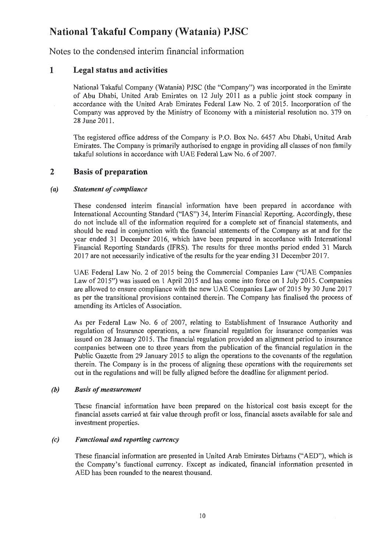Notes to the condensed interim financial information

## 1 Legal status and activities

National Takaful Company (Watania) PJSC (the "Company") was incorporated in the Emirate of Abu Dhabi, United Arab Emirates on 12 July 2011 as a public joint stock company in accordance with the United Arab Emirates Federal Law No. 2 of 2015. Incorporation of the Company was approved by the Ministry of Economy with a ministerial resolution no. 379 on 28 June 2011.

The registered office address of the Company is P.O. Box No. 6457 Abu Dhabi, United Arab Emirates. The Company is primarily authorised to engage in providing all classes of non family takaful solutions in accordance with UAE Federal Law No. 6 of 2007.

### 2 Basis of preparation

#### *(a) Statement of compliance*

These condensed interim financial information have been prepared in accordance with International Accounting Standard ("IAS") 34, Interim Financial Reporting. Accordingly, these do not include all of the information required for a complete set of financial statements, and should be read in conjunction with the financial statements of the Company as at and for the year ended 31 December 2016, which have been prepared in accordance with International Financial Reporting Standards (IFRS). The results for three months period ended 31 March 2017 are not necessarily indicative of the results for the year ending 31 December 201 7.

UAE Federal Law No. 2 of 2015 being the Commercial Companies Law ("UAE Companies Law of 2015") was issued on 1 April 2015 and has come into force on 1 July 2015. Companies are allowed to ensure compliance with the new UAE Companies Law of2015 by 30 June 2017 as per the transitional provisions contained therein. The Company has finalised the process of amending its Articles of Association.

As per Federal Law No. 6 of 2007, relating to Establishment of Insurance Authority and regulation of Insurance operations, a new financial regulation for insurance companies was issued on 28 January 2015. The financial regulation provided an alignment period to insurance companies between one to three years from the publication of the financial regulation in the Public Gazette from 29 January 2015 to align the operations to the covenants of the regulation therein. The Company is in the process of aligning these operations with the requirements set out in the regulations and will be fully aligned before the deadline for alignment period.

#### *(b) Basis of measurement*

These financial information have been prepared on the historical cost basis except for the financial assets carried at fair value through profit or loss, financial assets available for sale and investment properties.

#### *(c) Functional and reporting currency*

These financial information are presented in United Arab Emirates Dirhams ("AED"), which is the Company's functional currency. Except as indicated, financial information presented in AED has been rounded to the nearest thousand.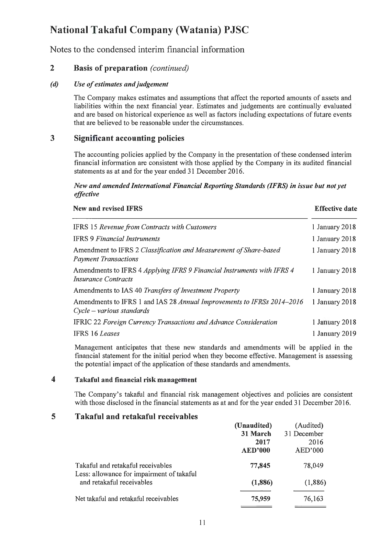Notes to the condensed interim financial information

## 2 Basis of preparation *(continued)*

#### *(d) Use of estimates and judgement*

The Company makes estimates and assumptions that affect the reported amounts of assets and liabilities within the next financial year. Estimates and judgements are continually evaluated and are based on historical experience as well as factors including expectations of future events that are believed to be reasonable under the circumstances.

#### 3 Significant accounting policies

The accounting policies applied by the Company in the presentation of these condensed interim financial information are consistent with those applied by the Company in its audited financial statements as at and for the year ended 31 December 2016.

#### *New and amended International Financial Reporting Standards (IFRS) in issue but not yet effective*

| New and revised IFRS                                                                                  | <b>Effective date</b> |
|-------------------------------------------------------------------------------------------------------|-----------------------|
| IFRS 15 Revenue from Contracts with Customers                                                         | 1 January 2018        |
| <b>IFRS 9 Financial Instruments</b>                                                                   | 1 January 2018        |
| Amendment to IFRS 2 Classification and Measurement of Share-based<br><b>Payment Transactions</b>      | 1 January $2018$      |
| Amendments to IFRS 4 Applying IFRS 9 Financial Instruments with IFRS 4<br><b>Insurance Contracts</b>  | 1 January 2018        |
| Amendments to IAS 40 Transfers of Investment Property                                                 | 1 January 2018        |
| Amendments to IFRS 1 and IAS 28 Annual Improvements to IFRSs 2014–2016<br>$Cycle - various standards$ | 1 January 2018        |
| IFRIC 22 Foreign Currency Transactions and Advance Consideration                                      | 1 January 2018        |
| <b>IFRS 16 Leases</b>                                                                                 | 1 January 2019        |

Management anticipates that these new standards and amendments will be applied in the financial statement for the initial period when they become effective. Management is assessing the potential impact of the application of these standards and amendments.

#### 4 Takaful and financial risk management

The Company's takaful and financial risk management objectives and policies are consistent with those disclosed in the financial statements as at and for the year ended 31 December 2016.

#### 5 Takaful and retakaful receivables

| (Unaudited)    | (Audited)   |
|----------------|-------------|
| 31 March       | 31 December |
| 2017           | 2016        |
| <b>AED'000</b> | AED'000     |
| 77,845         | 78,049      |
| (1,886)        | (1,886)     |
| 75,959         | 76,163      |
|                |             |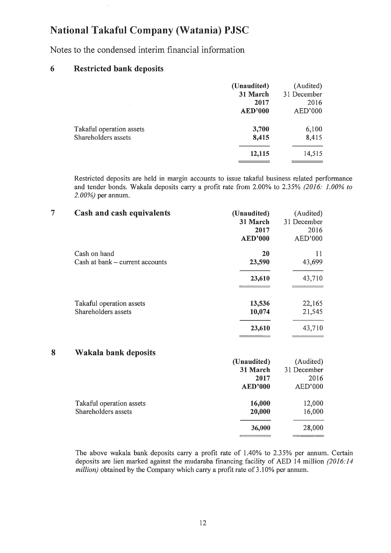Notes to the condensed interim financial information

## **6 Restricted bank deposits**

|                                                 | (Unaudited)<br>31 March<br>2017<br><b>AED'000</b> | (Audited)<br>31 December<br>$-2016$<br>AED'000 |
|-------------------------------------------------|---------------------------------------------------|------------------------------------------------|
| Takaful operation assets<br>Shareholders assets | 3,700<br>8,415                                    | 6,100<br>8,415                                 |
|                                                 | 12,115                                            | 14,515                                         |

Restricted deposits are held in margin accounts to issue takaful business related performance and tender bonds. Wakala deposits carry a profit rate from 2.00% to 2.35% *(2016: 1.00% to 2. 00%)* per annum.

| $\overline{7}$ | Cash and cash equivalents       | (Unaudited)<br>31 March<br>2017<br><b>AED'000</b> | (Audited)<br>31 December<br>2016<br>AED'000 |
|----------------|---------------------------------|---------------------------------------------------|---------------------------------------------|
|                | Cash on hand                    | 20                                                | 11                                          |
|                | Cash at bank - current accounts | 23,590                                            | 43,699                                      |
|                |                                 | 23,610                                            | 43,710                                      |
|                | Takaful operation assets        | 13,536                                            | 22,165                                      |
|                | Shareholders assets             | 10,074                                            | 21,545                                      |
|                |                                 | 23,610                                            | 43,710                                      |
| 8              | Wakala bank deposits            |                                                   |                                             |
|                |                                 | (Unaudited)                                       | (Audited)                                   |
|                |                                 | 31 March                                          | 31 December                                 |
|                |                                 | 2017                                              | 2016                                        |
|                |                                 | <b>AED'000</b>                                    | AED'000                                     |
|                | Takaful operation assets        | 16,000                                            | 12,000                                      |
|                | Shareholders assets             | 20,000                                            | 16,000                                      |
|                |                                 | 36,000                                            | 28,000                                      |

The above wakala bank deposits carry a profit rate of 1.40% to 2.35% per annum. Certain deposits are lien marked against the mudaraba financing facility of AED 14 million *(2016:14 million*) obtained by the Company which carry a profit rate of 3.10% per annum.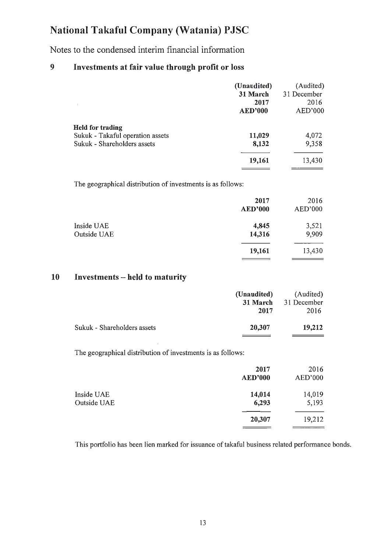Notes to the condensed interim financial information

## 9 Investments at fair value through profit or loss

|                                                                                            | (Unaudited)<br>31 March<br>.2017<br><b>AED'000</b> | (Audited)<br>31 December<br>2016<br>AED'000 |
|--------------------------------------------------------------------------------------------|----------------------------------------------------|---------------------------------------------|
| <b>Held for trading</b><br>Sukuk - Takaful operation assets<br>Sukuk - Shareholders assets | 11,029<br>8,132                                    | 4,072<br>9,358                              |
|                                                                                            | 19,161                                             | 13,430                                      |

The geographical distribution of investments is as follows:

|                           | 2017<br><b>AED'000</b> | 2016<br>AED'000 |
|---------------------------|------------------------|-----------------|
| Inside UAE<br>Outside UAE | 4,845<br>14,316        | 3,521<br>9,909  |
|                           | 19,161                 | 13,430          |

#### 10 Investments - held to maturity

|                             | (Unaudited)<br>31 March | (Audited)<br>31 December |
|-----------------------------|-------------------------|--------------------------|
|                             | 2017                    | 2016                     |
| Sukuk - Shareholders assets | 20,307                  | 19,212                   |

The geographical distribution of investments is as follows:

|                           | 2017<br><b>AED'000</b> | 2016<br>AED'000                                                                                     |
|---------------------------|------------------------|-----------------------------------------------------------------------------------------------------|
| Inside UAE<br>Outside UAE | 14,014<br>6,293        | 14,019<br>5,193                                                                                     |
|                           | 20,307                 | 19,212<br>and company to the company of the company of the company of the company of the company of |

This portfolio has been lien marked for issuance of takaful business related performance bonds.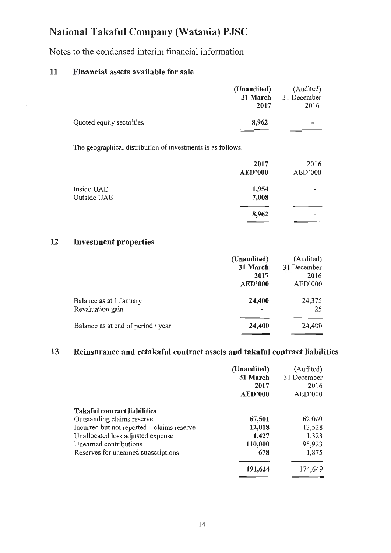Notes to the condensed interim financial information

## 11 Financial assets available for sale

|                          | (Unaudited) | (Audited)                |
|--------------------------|-------------|--------------------------|
|                          | 31 March    | 31 December              |
|                          | 2017        | 2016                     |
| Quoted equity securities | 8,962       | $\overline{\phantom{0}}$ |
|                          |             |                          |

The geographical distribution of investments is as follows:

|                                                       | 2017<br><b>AED'000</b> | 2016<br>AED'000                                          |
|-------------------------------------------------------|------------------------|----------------------------------------------------------|
| $\overline{\phantom{a}}$<br>Inside UAE<br>Outside UAE | 1,954<br>7,008         | $\qquad \qquad \blacksquare$<br>$\overline{\phantom{0}}$ |
|                                                       | 8,962                  |                                                          |

#### 12 Investment properties

|                                             | (Unaudited)<br>31 March | (Audited)<br>31 December |
|---------------------------------------------|-------------------------|--------------------------|
|                                             | 2017<br><b>AED'000</b>  | 2016<br>AED'000          |
| Balance as at 1 January<br>Revaluation gain | 24,400                  | 24,375<br>25             |
| Balance as at end of period / year          | 24,400                  | 24,400                   |

## 13 Reinsurance and retakaful contract assets and takaful contract liabilities

|                                            | (Unaudited)<br>31 March<br>2017<br><b>AED'000</b> | (Audited)<br>31 December<br>2016<br>AED'000 |
|--------------------------------------------|---------------------------------------------------|---------------------------------------------|
| <b>Takaful contract liabilities</b>        |                                                   |                                             |
| Outstanding claims reserve                 | 67,501                                            | 62,000                                      |
| Incurred but not reported – claims reserve | 12,018                                            | 13,528                                      |
| Unallocated loss adjusted expense          | 1,427                                             | 1,323                                       |
| Unearned contributions                     | 110,000                                           | 95,923                                      |
| Reserves for unearned subscriptions        | 678                                               | 1,875                                       |
|                                            | 191,624                                           | 174,649                                     |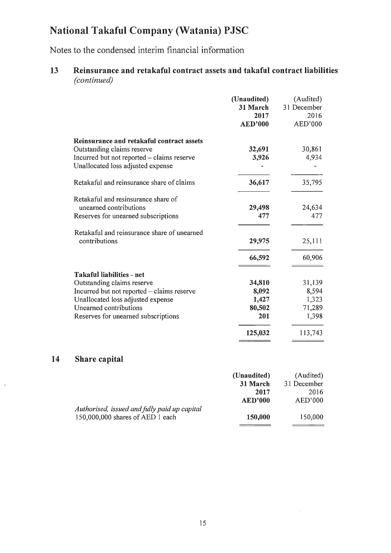Notes to the condensed interim financial information

## 13 Reinsurance and retakaful contract assets and takaful contract liabilities *(continued)*

|                                                                                                                       | (Unaudited)<br>31 March<br>2017 | (Audited)<br>31 December<br>2016 |
|-----------------------------------------------------------------------------------------------------------------------|---------------------------------|----------------------------------|
|                                                                                                                       | <b>AED'000</b>                  | AED'000                          |
| Reinsurance and retakaful contract assets<br>Outstanding claims reserve<br>Incurred but not reported – claims reserve | 32,691<br>3,926                 | 30,861<br>4,934                  |
| Unallocated loss adjusted expense                                                                                     |                                 |                                  |
| Retakaful and reinsurance share of claims                                                                             | 36,617                          | 35,795                           |
| Retakaful and resinsurance share of<br>unearned contributions                                                         | 29,498                          | 24,634                           |
| Reserves for unearned subscriptions                                                                                   | 477                             | 477                              |
| Retakaful and reinsurance share of unearned<br>contributions                                                          | 29,975                          | 25,111                           |
|                                                                                                                       | 66,592                          | 60,906                           |
| <b>Takaful liabilities - net</b><br>Outstanding claims reserve                                                        | 34,810                          | 31,139                           |
| Incurred but not reported - claims reserve<br>Unallocated loss adjusted expense                                       | 8,092<br>1,427                  | 8,594<br>1,323                   |
| Unearned contributions                                                                                                | 80,502                          | 71,289                           |
| Reserves for unearned subscriptions                                                                                   | 201                             | 1,398                            |
|                                                                                                                       | 125,032                         | 113,743                          |

## 14 Share capital

 $\bar{\phantom{a}}$ 

|                                              | (Unaudited)    | (Audited)   |
|----------------------------------------------|----------------|-------------|
|                                              | 31 March       | 31 December |
|                                              | 2017           | 2016        |
|                                              | <b>AED'000</b> | AED'000     |
| Authorised, issued and fully paid up capital |                |             |
| 150,000,000 shares of AED 1 each             | 150,000        | 150,000     |
|                                              |                |             |

 $\sim$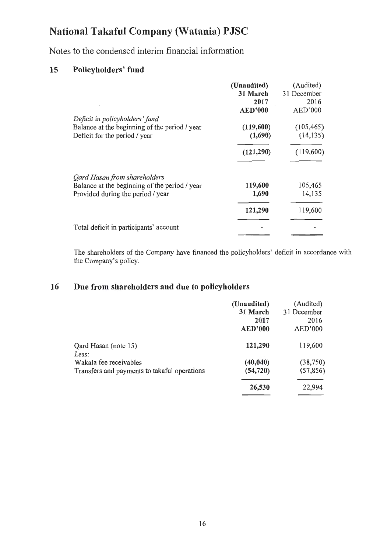Notes to the condensed interim financial information

## **15 Policyholders' fund**

|                                                                                                                    | (Unaudited)<br>31 March<br>2017<br><b>AED'000</b> | (Audited)<br>31 December<br>2016<br>AED'000 |
|--------------------------------------------------------------------------------------------------------------------|---------------------------------------------------|---------------------------------------------|
| Deficit in policyholders' fund<br>Balance at the beginning of the period / year<br>Deficit for the period / year   | (119,600)<br>(1,690)                              | (105, 465)<br>(14, 135)                     |
|                                                                                                                    | (121, 290)                                        | (119,600)                                   |
| Qard Hasan from shareholders<br>Balance at the beginning of the period / year<br>Provided during the period / year | 119,600<br>1,690                                  | 105,465<br>14,135                           |
|                                                                                                                    | 121,290                                           | 119,600                                     |
| Total deficit in participants' account                                                                             |                                                   |                                             |

The shareholders of the Company have financed the policyholders' deficit in accordance with the Company's policy.

## **16 Due from shareholders and due to policyholders**

|                                                                        | (Unaudited)<br>31 March | (Audited)<br>31 December |
|------------------------------------------------------------------------|-------------------------|--------------------------|
|                                                                        | 2017<br><b>AED'000</b>  | 2016<br>AED'000          |
| Qard Hasan (note 15)<br>Less:                                          | 121,290                 | 119,600                  |
| Wakala fee receivables<br>Transfers and payments to takaful operations | (40, 040)<br>(54, 720)  | (38, 750)<br>(57, 856)   |
|                                                                        | 26,530                  | 22,994                   |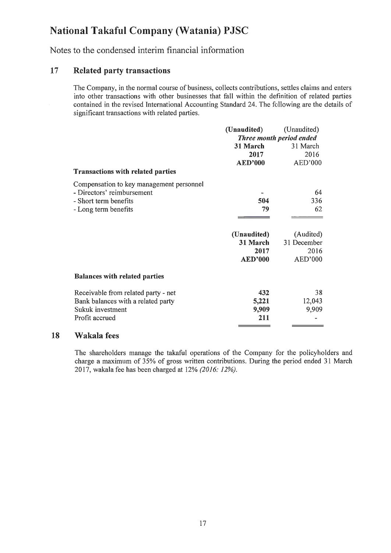Notes to the condensed interim financial information

### 17 Related party transactions

The Company, in the normal course of business, collects contributions, settles claims and enters into other transactions with other businesses that fall within the definition of related parties contained in the revised International Accounting Standard 24. The following are the details of significant transactions with related parties.

|                                          | (Unaudited)              | (Unaudited) |
|------------------------------------------|--------------------------|-------------|
|                                          | Three month period ended |             |
|                                          | 31 March                 | 31 March    |
|                                          | 2017                     | 2016        |
|                                          | <b>AED'000</b>           | AED'000     |
| <b>Transactions with related parties</b> |                          |             |
| Compensation to key management personnel |                          |             |
| - Directors' reimbursement               |                          | 64          |
| - Short term benefits                    | 504                      | 336         |
| - Long term benefits                     | 79                       | 62          |
|                                          |                          |             |
|                                          | (Unaudited)              | (Audited)   |
|                                          | 31 March                 | 31 December |
|                                          | 2017                     | 2016        |
|                                          | <b>AED'000</b>           | AED'000     |
| <b>Balances with related parties</b>     |                          |             |
| Receivable from related party - net      | 432                      | 38          |
| Bank balances with a related party       | 5,221                    | 12,043      |
| Sukuk investment                         | 9,909                    | 9,909       |
| Profit accrued                           | 211                      |             |
|                                          |                          |             |

#### 18 Wakala fees

The shareholders manage the takaful operations of the Company for the policyholders and charge a maximum of 35% of gross written contributions. During the period ended 31 March 2017, wakala fee has been charged at 12% *(2016: 12%).*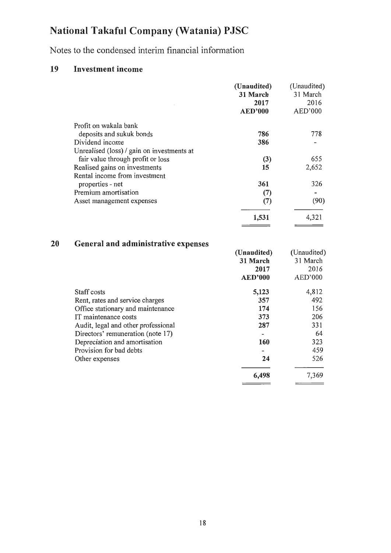Notes to the condensed interim financial information

## 19 Investment income

|                                            | (Unaudited)<br>31 March<br>2017<br><b>AED'000</b> | (Unaudited)<br>31 March<br>2016<br>AED'000 |
|--------------------------------------------|---------------------------------------------------|--------------------------------------------|
| Profit on wakala bank                      |                                                   |                                            |
| deposits and sukuk bonds                   | 786                                               | 778                                        |
| Dividend income                            | 386                                               |                                            |
| Unrealised (loss) / gain on investments at |                                                   |                                            |
| fair value through profit or loss          | (3)                                               | 655                                        |
| Realised gains on investments              | 15                                                | 2,652                                      |
| Rental income from investment              |                                                   |                                            |
| properties - net                           | 361                                               | 326                                        |
| Premium amortisation                       | (7)                                               |                                            |
| Asset management expenses                  | (7)                                               | (90)                                       |
|                                            | 1,531                                             | 4,321                                      |

## 20 General and administrative expenses

|                                     | (Unaudited)    | (Unaudited) |
|-------------------------------------|----------------|-------------|
|                                     | 31 March       | 31 March    |
|                                     | 2017           | 2016        |
|                                     | <b>AED'000</b> | AED'000     |
| Staff costs                         | 5,123          | 4,812       |
| Rent, rates and service charges     | 357            | 492         |
| Office stationary and maintenance   | 174            | 156         |
| IT maintenance costs                | 373            | 206         |
| Audit, legal and other professional | 287            | 331         |
| Directors' remuneration (note 17)   |                | 64          |
| Depreciation and amortisation       | 160            | 323         |
| Provision for bad debts             |                | 459         |
| Other expenses                      | 24             | 526         |
|                                     | 6,498          | 7,369       |
|                                     |                |             |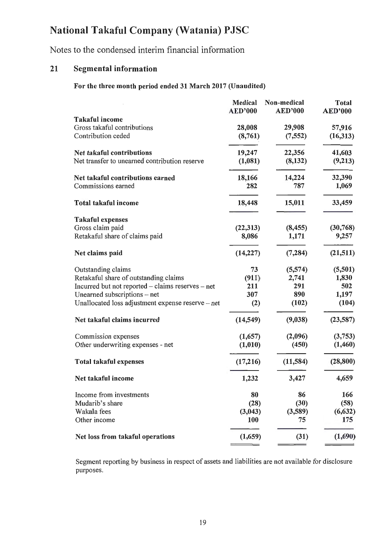Notes to the condensed interim financial information

## 21 Segmental information

## For the three month period ended 31 March 2017 (Unaudited)

|                                                      | <b>Medical</b> | Non-medical    | <b>Total</b>   |
|------------------------------------------------------|----------------|----------------|----------------|
|                                                      | <b>AED'000</b> | <b>AED'000</b> | <b>AED'000</b> |
| <b>Takaful income</b><br>Gross takaful contributions | 28,008         | 29,908         | 57,916         |
| Contribution ceded                                   | (8,761)        | (7, 552)       | (16,313)       |
| Net takaful contributions                            | 19,247         | 22,356         | 41,603         |
| Net transfer to unearned contribution reserve        | (1,081)        | (8, 132)       | (9,213)        |
| Net takaful contributions earned                     | 18,166         | 14,224         | 32,390         |
| Commissions earned                                   | 282            | 787            | 1,069          |
| <b>Total takaful income</b>                          | 18,448         | 15,011         | 33,459         |
| <b>Takaful expenses</b>                              |                |                |                |
| Gross claim paid                                     | (22, 313)      | (8, 455)       | (30, 768)      |
| Retakaful share of claims paid                       | 8,086          | 1,171          | 9,257          |
| Net claims paid                                      | (14, 227)      | (7, 284)       | (21,511)       |
| Outstanding claims                                   | 73             | (5,574)        | (5,501)        |
| Retakaful share of outstanding claims                | (911)          | 2,741          | 1,830          |
| Incurred but not reported - claims reserves - net    | 211            | 291            | 502            |
| Unearned subscriptions - net                         | 307            | 890            | 1,197          |
| Unallocated loss adjustment expense reserve - net    | (2)            | (102)          | (104)          |
| Net takaful claims incurred                          | (14, 549)      | (9,038)        | (23,587)       |
| Commission expenses                                  | (1,657)        | (2,096)        | (3,753)        |
| Other underwriting expenses - net                    | (1,010)        | (450)          | (1,460)        |
| <b>Total takaful expenses</b>                        | (17,216)       | (11, 584)      | (28, 800)      |
| Net takaful income                                   | 1,232          | 3,427          | 4,659          |
| Income from investments                              | 80             | 86             | 166            |
| Mudarib's share                                      | (28)           | (30)           | (58)           |
| Wakala fees                                          | (3,043)        | (3,589)        | (6, 632)       |
| Other income                                         | <b>100</b>     | 75             | 175            |
| Net loss from takaful operations                     | (1,659)        | (31)           | (1,690)        |

Segment reporting by business in respect of assets and liabilities are not available for disclosure purposes.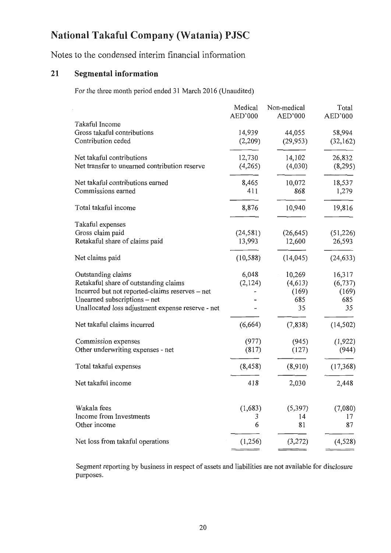Notes to the condensed interim financial information

## **21 Segmental information**

For the three month period ended 31 March 2016 (Unaudited)

|                                                   | Medical   | Non-medical | Total     |
|---------------------------------------------------|-----------|-------------|-----------|
|                                                   | AED'000   | AED'000     | AED'000   |
| Takaful Income<br>Gross takaful contributions     |           |             |           |
| Contribution ceded                                | 14,939    | 44,055      | 58,994    |
|                                                   | (2,209)   | (29, 953)   | (32, 162) |
| Net takaful contributions                         | 12,730    | 14,102      | 26,832    |
| Net transfer to unearned contribution reserve     | (4,265)   | (4,030)     | (8,295)   |
| Net takaful contributions earned                  | 8,465     | 10,072      | 18,537    |
| Commissions earned                                | 411       | 868         | 1,279     |
| Total takaful income                              |           |             |           |
|                                                   | 8,876     | 10,940      | 19,816    |
| Takaful expenses                                  |           |             |           |
| Gross claim paid                                  | (24, 581) | (26, 645)   | (51, 226) |
| Retakaful share of claims paid                    | 13,993    | 12,600      | 26,593    |
| Net claims paid                                   | (10, 588) | (14, 045)   | (24, 633) |
| Outstanding claims                                | 6,048     | 10,269      | 16,317    |
| Retakaful share of outstanding claims             | (2, 124)  | (4,613)     | (6, 737)  |
| Incurred but not reported-claims reserves - net   |           | (169)       | (169)     |
| Unearned subscriptions – net                      |           | 685         | 685       |
| Unallocated loss adjustment expense reserve - net |           | 35          | 35        |
| Net takaful claims incurred                       | (6,664)   | (7, 838)    | (14, 502) |
| Commission expenses                               | (977)     | (945)       | (1,922)   |
| Other underwriting expenses - net                 | (817)     | (127)       | (944)     |
| Total takaful expenses                            | (8, 458)  | (8,910)     | (17, 368) |
| Net takaful income                                | 418       | 2,030       | 2,448     |
|                                                   |           |             |           |
| Wakala fees                                       | (1,683)   | (5,397)     | (7,080)   |
| Income from Investments                           | 3         | 14          | 17        |
| Other income                                      | 6         | 81          | 87        |
| Net loss from takaful operations                  | (1,256)   | (3,272)     | (4, 528)  |
|                                                   |           |             |           |

Segment reporting by business in respect of assets and liabilities are not available for disclosure purposes.